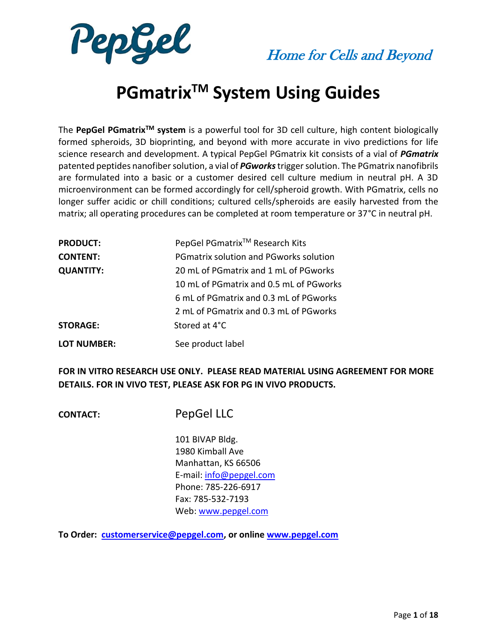



# **PGmatrixTM System Using Guides**

The **PepGel PGmatrixTM system** is a powerful tool for 3D cell culture, high content biologically formed spheroids, 3D bioprinting, and beyond with more accurate in vivo predictions for life science research and development. A typical PepGel PGmatrix kit consists of a vial of *PGmatrix* patented peptides nanofibersolution, a vial of *PGworks*trigger solution. The PGmatrix nanofibrils are formulated into a basic or a customer desired cell culture medium in neutral pH. A 3D microenvironment can be formed accordingly for cell/spheroid growth. With PGmatrix, cells no longer suffer acidic or chill conditions; cultured cells/spheroids are easily harvested from the matrix; all operating procedures can be completed at room temperature or 37°C in neutral pH.

| <b>PRODUCT:</b>    | PepGel PGmatrix <sup>™</sup> Research Kits    |
|--------------------|-----------------------------------------------|
| <b>CONTENT:</b>    | <b>PGmatrix solution and PGworks solution</b> |
| <b>QUANTITY:</b>   | 20 mL of PGmatrix and 1 mL of PGworks         |
|                    | 10 mL of PGmatrix and 0.5 mL of PGworks       |
|                    | 6 mL of PGmatrix and 0.3 mL of PGworks        |
|                    | 2 mL of PGmatrix and 0.3 mL of PGworks        |
| <b>STORAGE:</b>    | Stored at 4°C                                 |
| <b>LOT NUMBER:</b> | See product label                             |

**FOR IN VITRO RESEARCH USE ONLY. PLEASE READ MATERIAL USING AGREEMENT FOR MORE DETAILS. FOR IN VIVO TEST, PLEASE ASK FOR PG IN VIVO PRODUCTS.**

**CONTACT:** PepGel LLC

 101 BIVAP Bldg. 1980 Kimball Ave Manhattan, KS 66506 E-mail: [info@pepgel.com](mailto:info@pepgel.com) Phone: 785-226-6917 Fax: 785-532-7193 Web: [www.pepgel.com](http://www.pepgel.com/)

**To Order: [customerservice@pepgel.com,](mailto:customerservice@pepgel.com) or onlin[e www.pepgel.com](http://www.pepgel.com/)**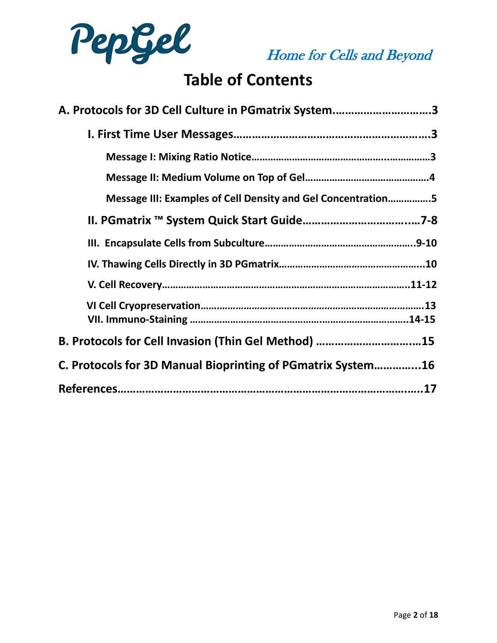

# **Table of Contents**

| A. Protocols for 3D Cell Culture in PGmatrix System3         |
|--------------------------------------------------------------|
|                                                              |
|                                                              |
|                                                              |
| Message III: Examples of Cell Density and Gel Concentration5 |
|                                                              |
|                                                              |
|                                                              |
|                                                              |
|                                                              |
| B. Protocols for Cell Invasion (Thin Gel Method) 15          |
| C. Protocols for 3D Manual Bioprinting of PGmatrix System16  |
|                                                              |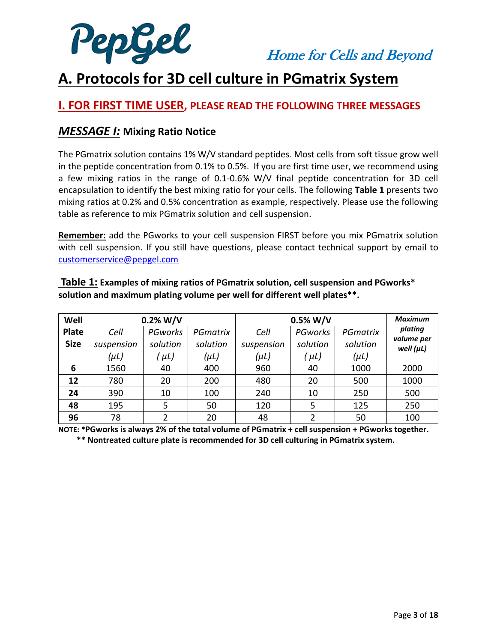

# **A. Protocols for 3D cell culture in PGmatrix System**

### **I. FOR FIRST TIME USER, PLEASE READ THE FOLLOWING THREE MESSAGES**

### *MESSAGE I:* **Mixing Ratio Notice**

The PGmatrix solution contains 1% W/V standard peptides. Most cells from soft tissue grow well in the peptide concentration from 0.1% to 0.5%. If you are first time user, we recommend using a few mixing ratios in the range of 0.1-0.6% W/V final peptide concentration for 3D cell encapsulation to identify the best mixing ratio for your cells. The following **Table 1** presents two mixing ratios at 0.2% and 0.5% concentration as example, respectively. Please use the following table as reference to mix PGmatrix solution and cell suspension.

**Remember:** add the PGworks to your cell suspension FIRST before you mix PGmatrix solution with cell suspension. If you still have questions, please contact technical support by email to [customerservice@pepgel.com](mailto:customerservice@pepgel.com)

| Well         | 0.2% W/V   |              |           | $0.5\%$ W/V | <b>Maximum</b> |           |                              |
|--------------|------------|--------------|-----------|-------------|----------------|-----------|------------------------------|
| <b>Plate</b> | Cell       | PGworks      | PGmatrix  | Cell        | PGworks        | PGmatrix  | plating                      |
| <b>Size</b>  | suspension | solution     | solution  | suspension  | solution       | solution  | volume per<br>well $(\mu L)$ |
|              | (µL)       | ΄ μL)        | $(\mu L)$ | $(\mu L)$   | (μL)           | $(\mu L)$ |                              |
| 6            | 1560       | 40           | 400       | 960         | 40             | 1000      | 2000                         |
| 12           | 780        | 20           | 200       | 480         | 20             | 500       | 1000                         |
| 24           | 390        | 10           | 100       | 240         | 10             | 250       | 500                          |
| 48           | 195        | 5            | 50        | 120         | 5              | 125       | 250                          |
| 96           | 78         | <sup>2</sup> | 20        | 48          | $\mathfrak{p}$ | 50        | 100                          |

**Table 1: Examples of mixing ratios of PGmatrix solution, cell suspension and PGworks\* solution and maximum plating volume per well for different well plates\*\*.** 

**NOTE: \*PGworks is always 2% of the total volume of PGmatrix + cell suspension + PGworks together.**

 **\*\* Nontreated culture plate is recommended for 3D cell culturing in PGmatrix system.**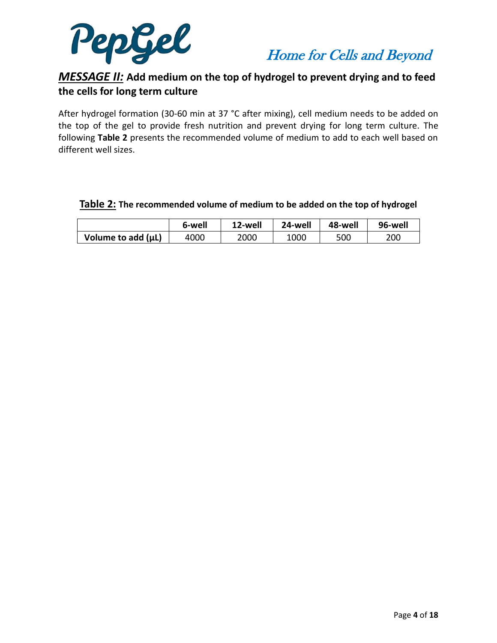



### *MESSAGE II:* **Add medium on the top of hydrogel to prevent drying and to feed the cells for long term culture**

After hydrogel formation (30-60 min at 37 °C after mixing), cell medium needs to be added on the top of the gel to provide fresh nutrition and prevent drying for long term culture. The following **Table 2** presents the recommended volume of medium to add to each well based on different well sizes.

|                         | 6-well | 12-well | 24-well | 48-well | 96-well |
|-------------------------|--------|---------|---------|---------|---------|
| Volume to add $(\mu L)$ | 4000   | 2000    | 1000    | 500     | 200     |

#### **Table 2: The recommended volume of medium to be added on the top of hydrogel**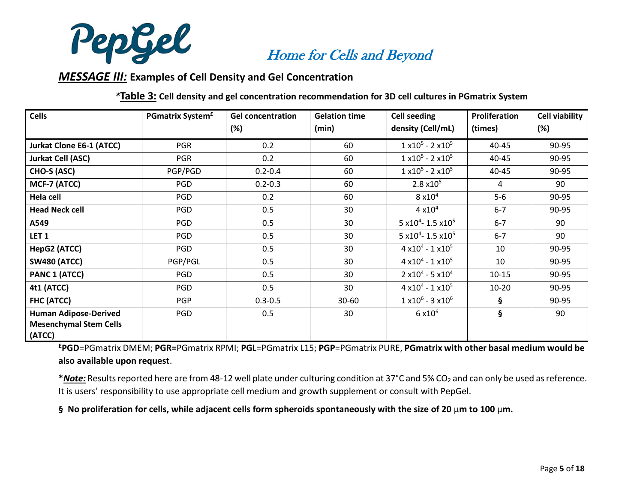

#### *MESSAGE III:* **Examples of Cell Density and Gel Concentration**

*\****Table 3: Cell density and gel concentration recommendation for 3D cell cultures in PGmatrix System**

| <b>Cells</b>                            | <b>PGmatrix System<sup>£</sup></b> | <b>Gel concentration</b> | <b>Gelation time</b> | <b>Cell seeding</b>                       | Proliferation | <b>Cell viability</b> |
|-----------------------------------------|------------------------------------|--------------------------|----------------------|-------------------------------------------|---------------|-----------------------|
|                                         |                                    | (%)                      | (min)                | density (Cell/mL)                         | (times)       | (%)                   |
| <b>Jurkat Clone E6-1 (ATCC)</b>         | <b>PGR</b>                         | 0.2                      | 60                   | $1 \times 10^5$ - 2 $\times 10^5$         | 40-45         | 90-95                 |
| <b>Jurkat Cell (ASC)</b>                | <b>PGR</b>                         | 0.2                      | 60                   | $1 \times 10^5 - 2 \times 10^5$           | 40-45         | 90-95                 |
| CHO-S (ASC)                             | PGP/PGD                            | $0.2 - 0.4$              | 60                   | $1 \times 10^5$ - 2 $\times 10^5$         | 40-45         | 90-95                 |
| MCF-7 (ATCC)                            | PGD                                | $0.2 - 0.3$              | 60                   | $2.8 \times 10^{5}$                       | 4             | 90                    |
| Hela cell                               | <b>PGD</b>                         | 0.2                      | 60                   | $8 \times 10^4$                           | 5-6           | 90-95                 |
| <b>Head Neck cell</b>                   | PGD                                | 0.5                      | 30                   | $4 \times 10^{4}$                         | $6 - 7$       | 90-95                 |
| A549                                    | <b>PGD</b>                         | 0.5                      | 30                   | 5 x10 <sup>4</sup> - 1.5 x10 <sup>5</sup> | $6 - 7$       | 90                    |
| LET <sub>1</sub>                        | <b>PGD</b>                         | 0.5                      | 30                   | 5 x10 <sup>4</sup> - 1.5 x10 <sup>5</sup> | $6 - 7$       | 90                    |
| HepG2 (ATCC)                            | <b>PGD</b>                         | 0.5                      | 30                   | $4 \times 10^{4} - 1 \times 10^{5}$       | 10            | 90-95                 |
| <b>SW480 (ATCC)</b>                     | PGP/PGL                            | 0.5                      | 30                   | $4 \times 10^{4} - 1 \times 10^{5}$       | 10            | 90-95                 |
| PANC 1 (ATCC)                           | PGD                                | 0.5                      | 30                   | $2 x 10^4 - 5 x 10^4$                     | $10 - 15$     | 90-95                 |
| 4t1 (ATCC)                              | <b>PGD</b>                         | 0.5                      | 30                   | $4 \times 10^{4} - 1 \times 10^{5}$       | $10 - 20$     | 90-95                 |
| <b>FHC (ATCC)</b>                       | <b>PGP</b>                         | $0.3 - 0.5$              | $30 - 60$            | $1 \times 10^6$ - 3 $\times 10^6$         | §.            | 90-95                 |
| <b>Human Adipose-Derived</b>            | PGD                                | 0.5                      | 30                   | $6 \times 10^6$                           | ş             | 90                    |
| <b>Mesenchymal Stem Cells</b><br>(ATCC) |                                    |                          |                      |                                           |               |                       |

**£PGD**=PGmatrix DMEM; **PGR=**PGmatrix RPMI; **PGL**=PGmatrix L15; **PGP**=PGmatrix PURE, **PGmatrix with other basal medium would be also available upon request**.

\***Note:** Results reported here are from 48-12 well plate under culturing condition at 37°C and 5% CO<sub>2</sub> and can only be used as reference. It is users' responsibility to use appropriate cell medium and growth supplement or consult with PepGel.

**§ No proliferation for cells, while adjacent cells form spheroids spontaneously with the size of 20** µ**m to 100** µ**m.**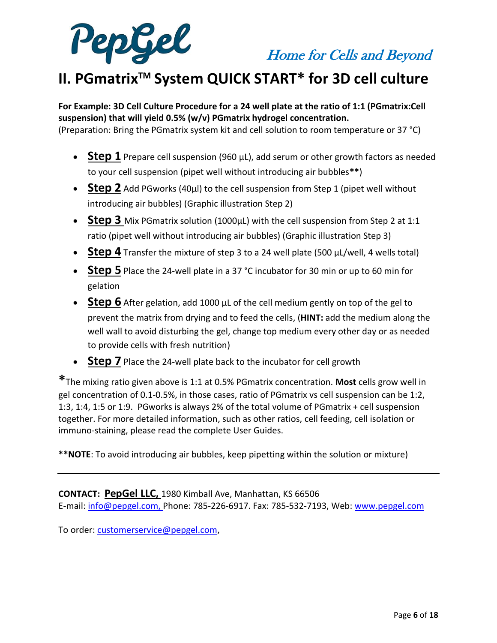



# **II. PGmatrixTM System QUICK START\* for 3D cell culture**

**For Example: 3D Cell Culture Procedure for a 24 well plate at the ratio of 1:1 (PGmatrix:Cell suspension) that will yield 0.5% (w/v) PGmatrix hydrogel concentration.**

(Preparation: Bring the PGmatrix system kit and cell solution to room temperature or 37 °C)

- **Step 1** Prepare cell suspension (960 µL), add serum or other growth factors as needed to your cell suspension (pipet well without introducing air bubbles**\*\***)
- **Step 2** Add PGworks (40µl) to the cell suspension from Step 1 (pipet well without introducing air bubbles) (Graphic illustration Step 2)
- **Step 3** Mix PGmatrix solution (1000μL) with the cell suspension from Step 2 at 1:1 ratio (pipet well without introducing air bubbles) (Graphic illustration Step 3)
- **Step 4** Transfer the mixture of step 3 to a 24 well plate (500 µL/well, 4 wells total)
- **Step 5** Place the 24-well plate in a 37 °C incubator for 30 min or up to 60 min for gelation
- **Step 6** After gelation, add 1000 µL of the cell medium gently on top of the gel to prevent the matrix from drying and to feed the cells, (**HINT:** add the medium along the well wall to avoid disturbing the gel, change top medium every other day or as needed to provide cells with fresh nutrition)
- **Step 7** Place the 24-well plate back to the incubator for cell growth

**\***The mixing ratio given above is 1:1 at 0.5% PGmatrix concentration. **Most** cells grow well in gel concentration of 0.1-0.5%, in those cases, ratio of PGmatrix vs cell suspension can be 1:2, 1:3, 1:4, 1:5 or 1:9. PGworks is always 2% of the total volume of PGmatrix + cell suspension together. For more detailed information, such as other ratios, cell feeding, cell isolation or immuno-staining, please read the complete User Guides.

**\*\*NOTE**: To avoid introducing air bubbles, keep pipetting within the solution or mixture)

**CONTACT: PepGel LLC,** 1980 Kimball Ave, Manhattan, KS 66506 E-mail: [info@pepgel.com,](mailto:info@pepgel.com) Phone: 785-226-6917. Fax: 785-532-7193, Web: [www.pepgel.com](http://www.pepgel.com/)

To order: [customerservice@pepgel.com,](mailto:customerservice@pepgel.com)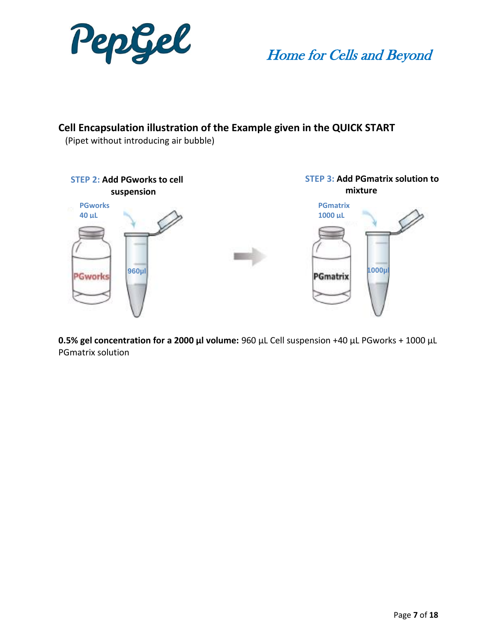

### **Cell Encapsulation illustration of the Example given in the QUICK START**

(Pipet without introducing air bubble)



**0.5% gel concentration for a 2000 µl volume:** 960 µL Cell suspension +40 µL PGworks + 1000 µL PGmatrix solution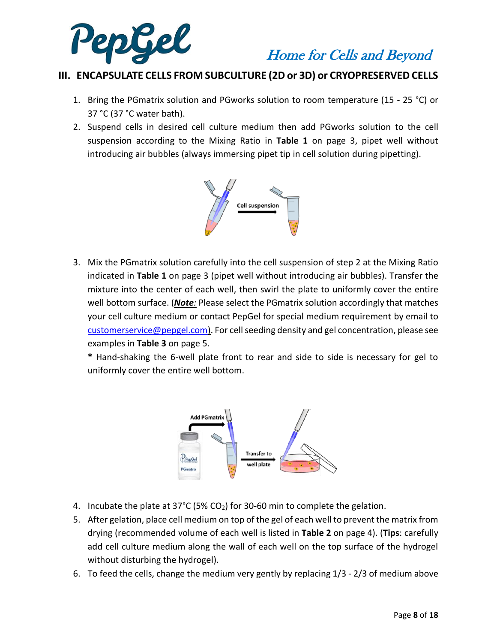

### **III. ENCAPSULATE CELLS FROM SUBCULTURE (2D or 3D) or CRYOPRESERVED CELLS**

- 1. Bring the PGmatrix solution and PGworks solution to room temperature (15 25 °C) or 37 °C (37 °C water bath).
- 2. Suspend cells in desired cell culture medium then add PGworks solution to the cell suspension according to the Mixing Ratio in **Table 1** on page 3, pipet well without introducing air bubbles (always immersing pipet tip in cell solution during pipetting).



3. Mix the PGmatrix solution carefully into the cell suspension of step 2 at the Mixing Ratio indicated in **Table 1** on page 3 (pipet well without introducing air bubbles). Transfer the mixture into the center of each well, then swirl the plate to uniformly cover the entire well bottom surface. (*Note:* Please select the PGmatrix solution accordingly that matches your cell culture medium or contact PepGel for special medium requirement by email to [customerservice@pepgel.com\)](mailto:customerservice@pepgel.com). For cell seeding density and gel concentration, please see examples in **Table 3** on page 5.

**\*** Hand-shaking the 6-well plate front to rear and side to side is necessary for gel to uniformly cover the entire well bottom.



- 4. Incubate the plate at 37°C (5% CO<sub>2</sub>) for 30-60 min to complete the gelation.
- 5. After gelation, place cell medium on top of the gel of each well to prevent the matrix from drying (recommended volume of each well is listed in **Table 2** on page 4). (**Tips**: carefully add cell culture medium along the wall of each well on the top surface of the hydrogel without disturbing the hydrogel).
- 6. To feed the cells, change the medium very gently by replacing 1/3 2/3 of medium above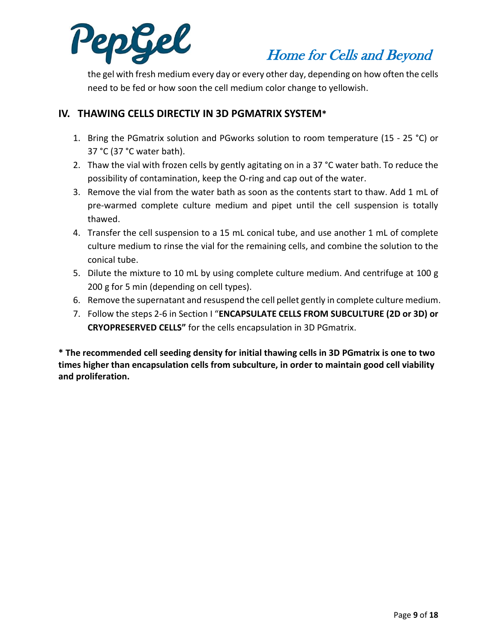

the gel with fresh medium every day or every other day, depending on how often the cells need to be fed or how soon the cell medium color change to yellowish.

#### **IV. THAWING CELLS DIRECTLY IN 3D PGMATRIX SYSTEM\***

- 1. Bring the PGmatrix solution and PGworks solution to room temperature (15 25 °C) or 37 °C (37 °C water bath).
- 2. Thaw the vial with frozen cells by gently agitating on in a 37 °C water bath. To reduce the possibility of contamination, keep the O-ring and cap out of the water.
- 3. Remove the vial from the water bath as soon as the contents start to thaw. Add 1 mL of pre-warmed complete culture medium and pipet until the cell suspension is totally thawed.
- 4. Transfer the cell suspension to a 15 mL conical tube, and use another 1 mL of complete culture medium to rinse the vial for the remaining cells, and combine the solution to the conical tube.
- 5. Dilute the mixture to 10 mL by using complete culture medium. And centrifuge at 100 g 200 g for 5 min (depending on cell types).
- 6. Remove the supernatant and resuspend the cell pellet gently in complete culture medium.
- 7. Follow the steps 2-6 in Section I "**ENCAPSULATE CELLS FROM SUBCULTURE (2D or 3D) or CRYOPRESERVED CELLS"** for the cells encapsulation in 3D PGmatrix.

**\* The recommended cell seeding density for initial thawing cells in 3D PGmatrix is one to two times higher than encapsulation cells from subculture, in order to maintain good cell viability and proliferation.**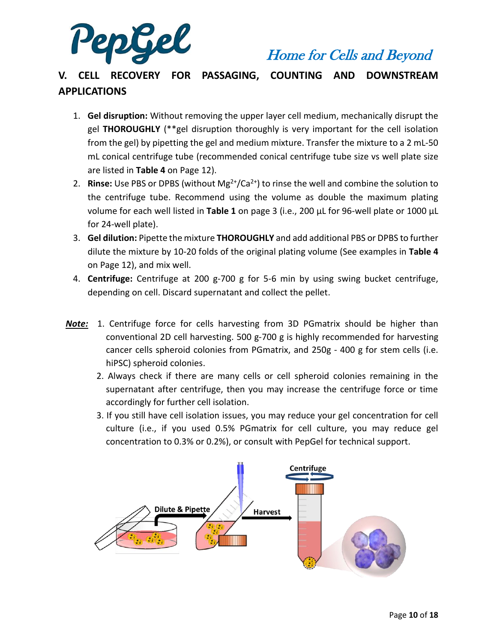

### **V. CELL RECOVERY FOR PASSAGING, COUNTING AND DOWNSTREAM APPLICATIONS**

- 1. **Gel disruption:** Without removing the upper layer cell medium, mechanically disrupt the gel **THOROUGHLY** (\*\*gel disruption thoroughly is very important for the cell isolation from the gel) by pipetting the gel and medium mixture. Transfer the mixture to a 2 mL-50 mL conical centrifuge tube (recommended conical centrifuge tube size vs well plate size are listed in **Table 4** on Page 12).
- 2. **Rinse:** Use PBS or DPBS (without  $Mg^{2+}/Ca^{2+}$ ) to rinse the well and combine the solution to the centrifuge tube. Recommend using the volume as double the maximum plating volume for each well listed in **Table 1** on page 3 (i.e., 200 µL for 96-well plate or 1000 µL for 24-well plate).
- 3. **Gel dilution:** Pipette the mixture **THOROUGHLY** and add additional PBS or DPBS to further dilute the mixture by 10-20 folds of the original plating volume (See examples in **Table 4** on Page 12), and mix well.
- 4. **Centrifuge:** Centrifuge at 200 g-700 g for 5-6 min by using swing bucket centrifuge, depending on cell. Discard supernatant and collect the pellet.
- *Note:* 1. Centrifuge force for cells harvesting from 3D PGmatrix should be higher than conventional 2D cell harvesting. 500 g-700 g is highly recommended for harvesting cancer cells spheroid colonies from PGmatrix, and 250g - 400 g for stem cells (i.e. hiPSC) spheroid colonies.
	- 2. Always check if there are many cells or cell spheroid colonies remaining in the supernatant after centrifuge, then you may increase the centrifuge force or time accordingly for further cell isolation.
	- 3. If you still have cell isolation issues, you may reduce your gel concentration for cell culture (i.e., if you used 0.5% PGmatrix for cell culture, you may reduce gel concentration to 0.3% or 0.2%), or consult with PepGel for technical support.

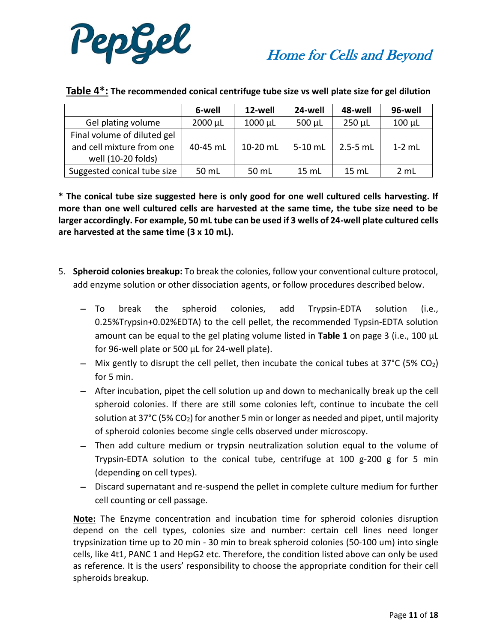

|                                                          | 6-well       | 12-well  | 24-well     | 48-well      | 96-well     |
|----------------------------------------------------------|--------------|----------|-------------|--------------|-------------|
| Gel plating volume                                       | $2000 \mu L$ | 1000 µL  | $500 \mu L$ | $250 \mu L$  | $100 \mu L$ |
| Final volume of diluted gel<br>and cell mixture from one | 40-45 mL     | 10-20 mL | 5-10 mL     | $2.5 - 5$ mL | $1-2$ mL    |
| well (10-20 folds)                                       |              |          |             |              |             |
| Suggested conical tube size                              | 50 mL        | 50 mL    | 15 mL       | $15$ mL      | 2 mL        |

#### **Table 4\*: The recommended conical centrifuge tube size vs well plate size for gel dilution**

**\* The conical tube size suggested here is only good for one well cultured cells harvesting. If more than one well cultured cells are harvested at the same time, the tube size need to be larger accordingly. For example, 50 mL tube can be used if 3 wells of 24-well plate cultured cells are harvested at the same time (3 x 10 mL).**

- 5. **Spheroid colonies breakup:** To break the colonies, follow your conventional culture protocol, add enzyme solution or other dissociation agents, or follow procedures described below.
	- − To break the spheroid colonies, add Trypsin-EDTA solution (i.e., 0.25%Trypsin+0.02%EDTA) to the cell pellet, the recommended Typsin-EDTA solution amount can be equal to the gel plating volume listed in **Table 1** on page 3 (i.e., 100 µL for 96-well plate or 500 µL for 24-well plate).
	- − Mix gently to disrupt the cell pellet, then incubate the conical tubes at 37°C (5% CO2) for 5 min.
	- − After incubation, pipet the cell solution up and down to mechanically break up the cell spheroid colonies. If there are still some colonies left, continue to incubate the cell solution at 37°C (5% CO<sub>2</sub>) for another 5 min or longer as needed and pipet, until majority of spheroid colonies become single cells observed under microscopy.
	- − Then add culture medium or trypsin neutralization solution equal to the volume of Trypsin-EDTA solution to the conical tube, centrifuge at 100 g-200 g for 5 min (depending on cell types).
	- − Discard supernatant and re-suspend the pellet in complete culture medium for further cell counting or cell passage.

**Note:** The Enzyme concentration and incubation time for spheroid colonies disruption depend on the cell types, colonies size and number: certain cell lines need longer trypsinization time up to 20 min - 30 min to break spheroid colonies (50-100 um) into single cells, like 4t1, PANC 1 and HepG2 etc. Therefore, the condition listed above can only be used as reference. It is the users' responsibility to choose the appropriate condition for their cell spheroids breakup.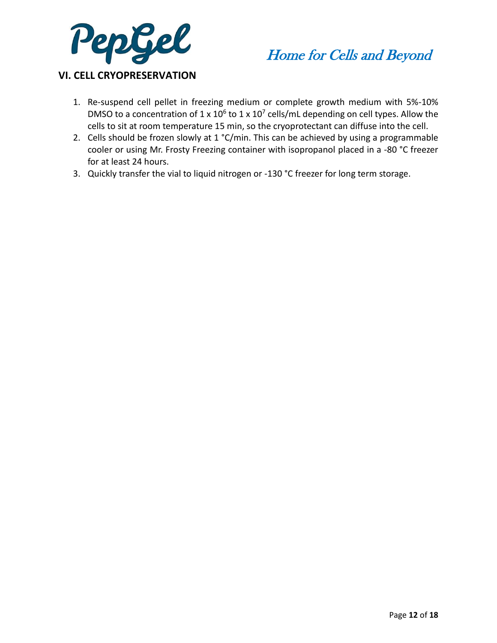



#### **VI. CELL CRYOPRESERVATION**

- 1. Re-suspend cell pellet in freezing medium or complete growth medium with 5%-10% DMSO to a concentration of  $1 \times 10^6$  to  $1 \times 10^7$  cells/mL depending on cell types. Allow the cells to sit at room temperature 15 min, so the cryoprotectant can diffuse into the cell.
- 2. Cells should be frozen slowly at 1 °C/min. This can be achieved by using a programmable cooler or using Mr. Frosty Freezing container with isopropanol placed in a -80 °C freezer for at least 24 hours.
- 3. Quickly transfer the vial to liquid nitrogen or -130 °C freezer for long term storage.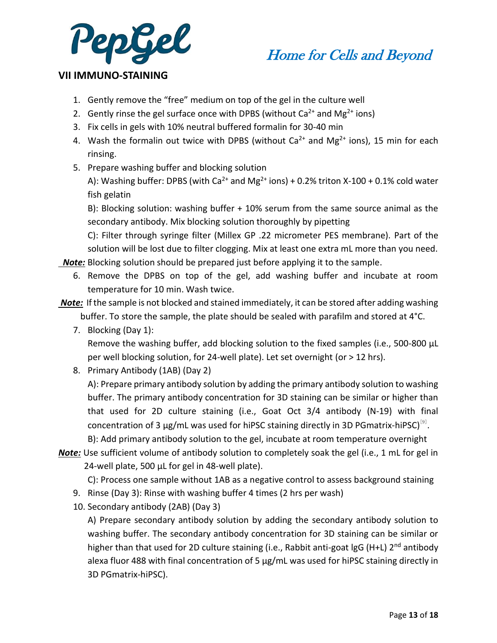



#### **VII IMMUNO-STAINING**

- 1. Gently remove the "free" medium on top of the gel in the culture well
- 2. Gently rinse the gel surface once with DPBS (without  $Ca^{2+}$  and Mg<sup>2+</sup> ions)
- 3. Fix cells in gels with 10% neutral buffered formalin for 30-40 min
- 4. Wash the formalin out twice with DPBS (without  $Ca^{2+}$  and Mg<sup>2+</sup> ions), 15 min for each rinsing.
- 5. Prepare washing buffer and blocking solution

A): Washing buffer: DPBS (with Ca<sup>2+</sup> and Mg<sup>2+</sup> ions) + 0.2% triton X-100 + 0.1% cold water fish gelatin

B): Blocking solution: washing buffer + 10% serum from the same source animal as the secondary antibody. Mix blocking solution thoroughly by pipetting

C): Filter through syringe filter (Millex GP .22 micrometer PES membrane). Part of the solution will be lost due to filter clogging. Mix at least one extra mL more than you need.

 *Note:* Blocking solution should be prepared just before applying it to the sample.

- 6. Remove the DPBS on top of the gel, add washing buffer and incubate at room temperature for 10 min. Wash twice.
- *Note:* If the sample is not blocked and stained immediately, it can be stored after adding washing buffer. To store the sample, the plate should be sealed with parafilm and stored at 4°C.
	- 7. Blocking (Day 1):

Remove the washing buffer, add blocking solution to the fixed samples (i.e., 500-800 µL per well blocking solution, for 24-well plate). Let set overnight (or > 12 hrs).

8. Primary Antibody (1AB) (Day 2)

A): Prepare primary antibody solution by adding the primary antibody solution to washing buffer. The primary antibody concentration for 3D staining can be similar or higher than that used for 2D culture staining (i.e., Goat Oct 3/4 antibody (N-19) with final concentration of 3  $\mu$ g/mL was used for hiPSC staining directly in 3D PGmatrix-hiPSC)<sup>[9]</sup>.

B): Add primary antibody solution to the gel, incubate at room temperature overnight

*Note:* Use sufficient volume of antibody solution to completely soak the gel (i.e., 1 mL for gel in 24-well plate, 500 µL for gel in 48-well plate).

C): Process one sample without 1AB as a negative control to assess background staining

- 9. Rinse (Day 3): Rinse with washing buffer 4 times (2 hrs per wash)
- 10. Secondary antibody (2AB) (Day 3)

A) Prepare secondary antibody solution by adding the secondary antibody solution to washing buffer. The secondary antibody concentration for 3D staining can be similar or higher than that used for 2D culture staining (i.e., Rabbit anti-goat  $\lg G$  (H+L) 2<sup>nd</sup> antibody alexa fluor 488 with final concentration of 5 µg/mL was used for hiPSC staining directly in 3D PGmatrix-hiPSC).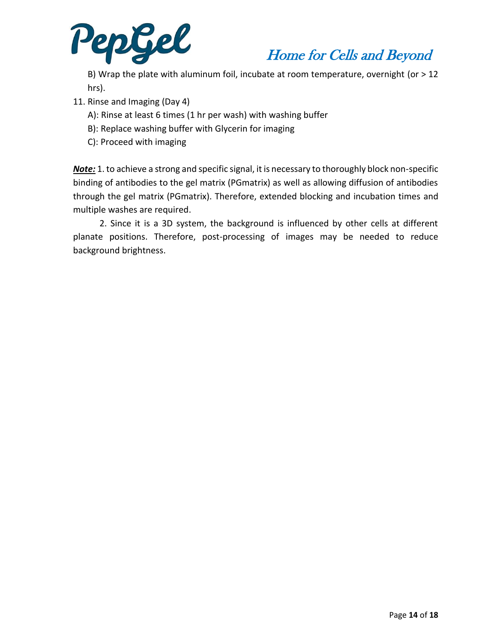

B) Wrap the plate with aluminum foil, incubate at room temperature, overnight (or > 12 hrs).

- 11. Rinse and Imaging (Day 4)
	- A): Rinse at least 6 times (1 hr per wash) with washing buffer
	- B): Replace washing buffer with Glycerin for imaging
	- C): Proceed with imaging

*Note:* 1. to achieve a strong and specific signal, it is necessary to thoroughly block non-specific binding of antibodies to the gel matrix (PGmatrix) as well as allowing diffusion of antibodies through the gel matrix (PGmatrix). Therefore, extended blocking and incubation times and multiple washes are required.

 2. Since it is a 3D system, the background is influenced by other cells at different planate positions. Therefore, post-processing of images may be needed to reduce background brightness.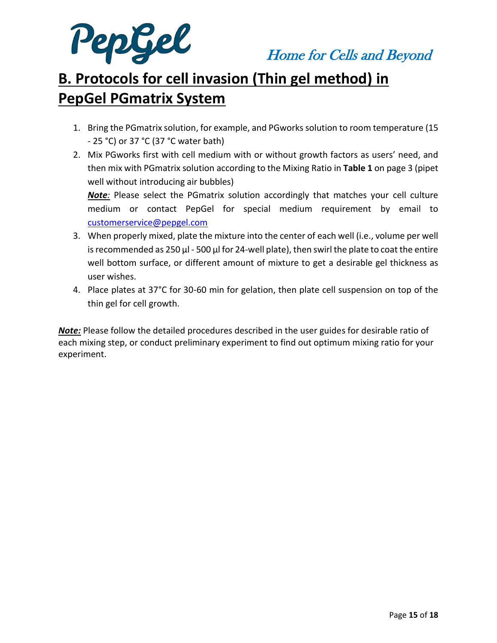

# **B. Protocols for cell invasion (Thin gel method) in PepGel PGmatrix System**

- 1. Bring the PGmatrix solution, for example, and PGworks solution to room temperature (15 - 25 °C) or 37 °C (37 °C water bath)
- 2. Mix PGworks first with cell medium with or without growth factors as users' need, and then mix with PGmatrix solution according to the Mixing Ratio in **Table 1** on page 3 (pipet well without introducing air bubbles)

*Note:* Please select the PGmatrix solution accordingly that matches your cell culture medium or contact PepGel for special medium requirement by email to [customerservice@pepgel.com](mailto:customerservice@pepgel.com)

- 3. When properly mixed, plate the mixture into the center of each well (i.e., volume per well is recommended as 250  $\mu$ I - 500  $\mu$ I for 24-well plate), then swirl the plate to coat the entire well bottom surface, or different amount of mixture to get a desirable gel thickness as user wishes.
- 4. Place plates at 37°C for 30-60 min for gelation, then plate cell suspension on top of the thin gel for cell growth.

*Note:* Please follow the detailed procedures described in the user guides for desirable ratio of each mixing step, or conduct preliminary experiment to find out optimum mixing ratio for your experiment.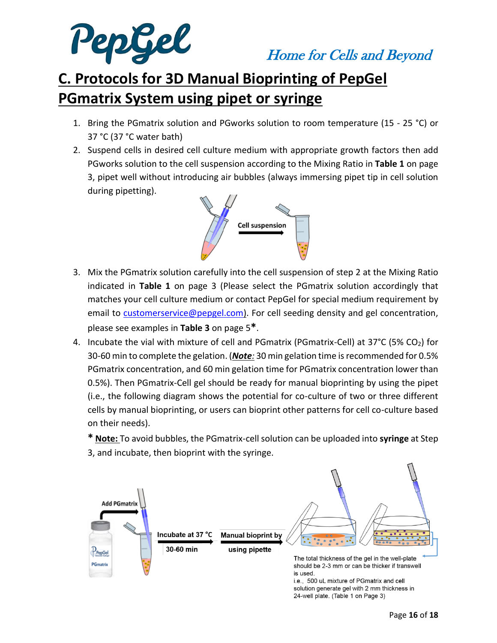

# **C. Protocols for 3D Manual Bioprinting of PepGel PGmatrix System using pipet or syringe**

- 1. Bring the PGmatrix solution and PGworks solution to room temperature (15 25 °C) or 37 °C (37 °C water bath)
- 2. Suspend cells in desired cell culture medium with appropriate growth factors then add PGworks solution to the cell suspension according to the Mixing Ratio in **Table 1** on page 3, pipet well without introducing air bubbles (always immersing pipet tip in cell solution during pipetting).



- 3. Mix the PGmatrix solution carefully into the cell suspension of step 2 at the Mixing Ratio indicated in **Table 1** on page 3 (Please select the PGmatrix solution accordingly that matches your cell culture medium or contact PepGel for special medium requirement by email to [customerservice@pepgel.com\)](mailto:customerservice@pepgel.com). For cell seeding density and gel concentration, please see examples in **Table 3** on page 5**\***.
- 4. Incubate the vial with mixture of cell and PGmatrix (PGmatrix-Cell) at  $37^{\circ}$ C (5% CO<sub>2</sub>) for 30-60 min to complete the gelation. (*Note:* 30 min gelation time is recommended for 0.5% PGmatrix concentration, and 60 min gelation time for PGmatrix concentration lower than 0.5%). Then PGmatrix-Cell gel should be ready for manual bioprinting by using the pipet (i.e., the following diagram shows the potential for co-culture of two or three different cells by manual bioprinting, or users can bioprint other patterns for cell co-culture based on their needs).

**\* Note:** To avoid bubbles, the PGmatrix-cell solution can be uploaded into **syringe** at Step 3, and incubate, then bioprint with the syringe.



i.e., 500 uL mixture of PGmatrix and cell solution generate gel with 2 mm thickness in 24-well plate. (Table 1 on Page 3)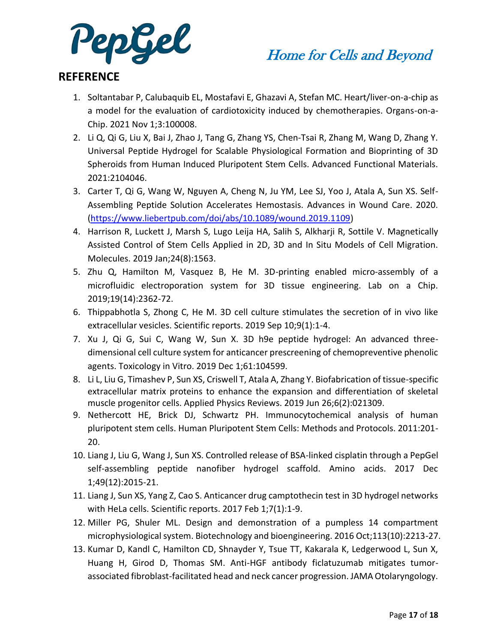

### **REFERENCE**

- 1. Soltantabar P, Calubaquib EL, Mostafavi E, Ghazavi A, Stefan MC. Heart/liver-on-a-chip as a model for the evaluation of cardiotoxicity induced by chemotherapies. Organs-on-a-Chip. 2021 Nov 1;3:100008.
- 2. Li Q, Qi G, Liu X, Bai J, Zhao J, Tang G, Zhang YS, Chen-Tsai R, Zhang M, Wang D, Zhang Y. Universal Peptide Hydrogel for Scalable Physiological Formation and Bioprinting of 3D Spheroids from Human Induced Pluripotent Stem Cells. Advanced Functional Materials. 2021:2104046.
- 3. Carter T, Qi G, Wang W, Nguyen A, Cheng N, Ju YM, Lee SJ, Yoo J, Atala A, Sun XS. Self-Assembling Peptide Solution Accelerates Hemostasis. Advances in Wound Care. 2020. [\(https://www.liebertpub.com/doi/abs/10.1089/wound.2019.1109\)](https://www.liebertpub.com/doi/abs/10.1089/wound.2019.1109)
- 4. Harrison R, Luckett J, Marsh S, Lugo Leija HA, Salih S, Alkharji R, Sottile V. Magnetically Assisted Control of Stem Cells Applied in 2D, 3D and In Situ Models of Cell Migration. Molecules. 2019 Jan;24(8):1563.
- 5. Zhu Q, Hamilton M, Vasquez B, He M. 3D-printing enabled micro-assembly of a microfluidic electroporation system for 3D tissue engineering. Lab on a Chip. 2019;19(14):2362-72.
- 6. Thippabhotla S, Zhong C, He M. 3D cell culture stimulates the secretion of in vivo like extracellular vesicles. Scientific reports. 2019 Sep 10;9(1):1-4.
- 7. Xu J, Qi G, Sui C, Wang W, Sun X. 3D h9e peptide hydrogel: An advanced threedimensional cell culture system for anticancer prescreening of chemopreventive phenolic agents. Toxicology in Vitro. 2019 Dec 1;61:104599.
- 8. Li L, Liu G, Timashev P, Sun XS, Criswell T, Atala A, Zhang Y. Biofabrication of tissue-specific extracellular matrix proteins to enhance the expansion and differentiation of skeletal muscle progenitor cells. Applied Physics Reviews. 2019 Jun 26;6(2):021309.
- 9. Nethercott HE, Brick DJ, Schwartz PH. Immunocytochemical analysis of human pluripotent stem cells. Human Pluripotent Stem Cells: Methods and Protocols. 2011:201- 20.
- 10. Liang J, Liu G, Wang J, Sun XS. Controlled release of BSA-linked cisplatin through a PepGel self-assembling peptide nanofiber hydrogel scaffold. Amino acids. 2017 Dec 1;49(12):2015-21.
- 11. Liang J, Sun XS, Yang Z, Cao S. Anticancer drug camptothecin test in 3D hydrogel networks with HeLa cells. Scientific reports. 2017 Feb 1;7(1):1-9.
- 12. Miller PG, Shuler ML. Design and demonstration of a pumpless 14 compartment microphysiological system. Biotechnology and bioengineering. 2016 Oct;113(10):2213-27.
- 13. Kumar D, Kandl C, Hamilton CD, Shnayder Y, Tsue TT, Kakarala K, Ledgerwood L, Sun X, Huang H, Girod D, Thomas SM. Anti-HGF antibody ficlatuzumab mitigates tumorassociated fibroblast-facilitated head and neck cancer progression. JAMA Otolaryngology.